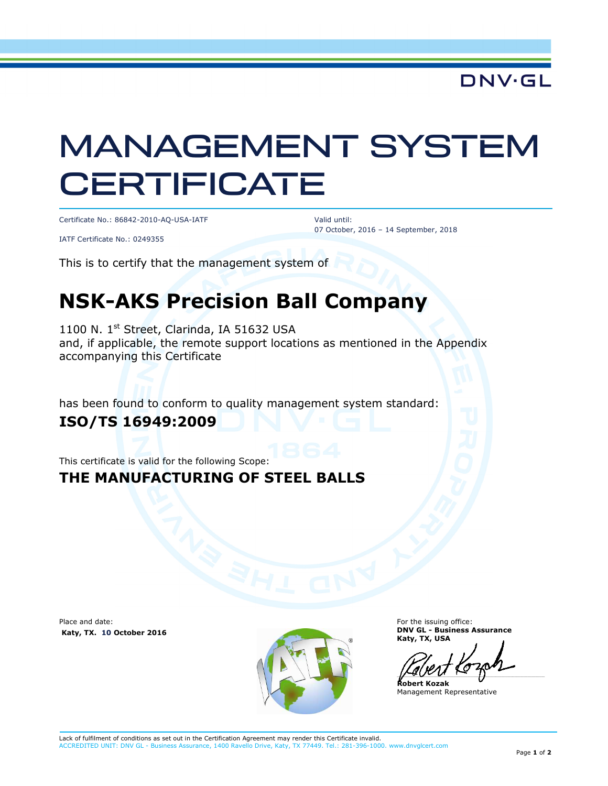**DNV·GL** 

# MANAGEMENT SYSTEM **CERTIFICATE**

Certificate No.: 86842-2010-AQ-USA-IATF

Valid until: 07 October, 2016 – 14 September, 2018

IATF Certificate No.: 0249355

This is to certify that the management system of

## **NSK-AKS Precision Ball Company**

1100 N. 1<sup>st</sup> Street, Clarinda, IA 51632 USA and, if applicable, the remote support locations as mentioned in the Appendix accompanying this Certificate

has been found to conform to quality management system standard:

#### **ISO/TS 16949:2009**

This certificate is valid for the following Scope:

#### **THE MANUFACTURING OF STEEL BALLS**

Place and date:  **Katy, TX. 10 October 2016** 



For the issuing office: **DNV GL - Business Assurance Katy, TX, USA** 

 $\overline{\phantom{a}}$ 

**Robert Kozak**  Management Representative